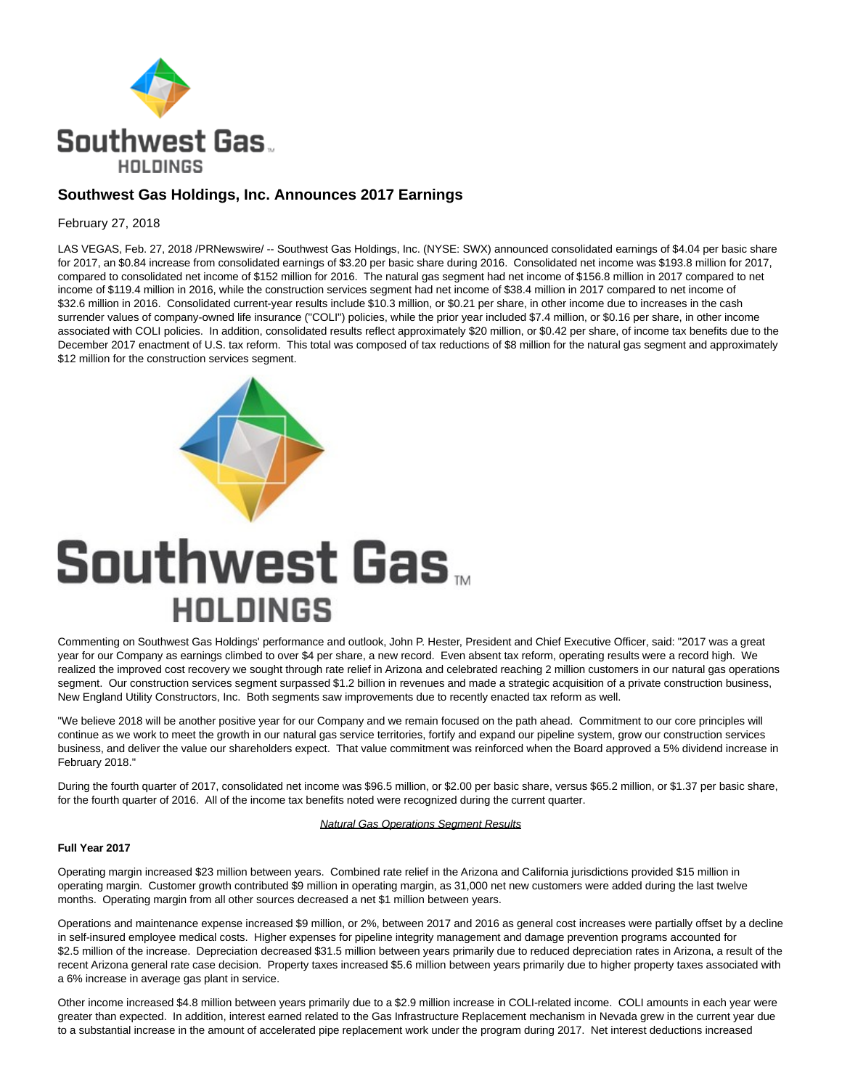

# **Southwest Gas Holdings, Inc. Announces 2017 Earnings**

# February 27, 2018

LAS VEGAS, Feb. 27, 2018 /PRNewswire/ -- Southwest Gas Holdings, Inc. (NYSE: SWX) announced consolidated earnings of \$4.04 per basic share for 2017, an \$0.84 increase from consolidated earnings of \$3.20 per basic share during 2016. Consolidated net income was \$193.8 million for 2017, compared to consolidated net income of \$152 million for 2016. The natural gas segment had net income of \$156.8 million in 2017 compared to net income of \$119.4 million in 2016, while the construction services segment had net income of \$38.4 million in 2017 compared to net income of \$32.6 million in 2016. Consolidated current-year results include \$10.3 million, or \$0.21 per share, in other income due to increases in the cash surrender values of company-owned life insurance ("COLI") policies, while the prior year included \$7.4 million, or \$0.16 per share, in other income associated with COLI policies. In addition, consolidated results reflect approximately \$20 million, or \$0.42 per share, of income tax benefits due to the December 2017 enactment of U.S. tax reform. This total was composed of tax reductions of \$8 million for the natural gas segment and approximately \$12 million for the construction services seament.



# **Southwest Gas HOLDINGS**

Commenting on Southwest Gas Holdings' performance and outlook, John P. Hester, President and Chief Executive Officer, said: "2017 was a great year for our Company as earnings climbed to over \$4 per share, a new record. Even absent tax reform, operating results were a record high. We realized the improved cost recovery we sought through rate relief in Arizona and celebrated reaching 2 million customers in our natural gas operations segment. Our construction services segment surpassed \$1.2 billion in revenues and made a strategic acquisition of a private construction business, New England Utility Constructors, Inc. Both segments saw improvements due to recently enacted tax reform as well.

"We believe 2018 will be another positive year for our Company and we remain focused on the path ahead. Commitment to our core principles will continue as we work to meet the growth in our natural gas service territories, fortify and expand our pipeline system, grow our construction services business, and deliver the value our shareholders expect. That value commitment was reinforced when the Board approved a 5% dividend increase in February 2018."

During the fourth quarter of 2017, consolidated net income was \$96.5 million, or \$2.00 per basic share, versus \$65.2 million, or \$1.37 per basic share, for the fourth quarter of 2016. All of the income tax benefits noted were recognized during the current quarter.

# Natural Gas Operations Segment Results

# **Full Year 2017**

Operating margin increased \$23 million between years. Combined rate relief in the Arizona and California jurisdictions provided \$15 million in operating margin. Customer growth contributed \$9 million in operating margin, as 31,000 net new customers were added during the last twelve months. Operating margin from all other sources decreased a net \$1 million between years.

Operations and maintenance expense increased \$9 million, or 2%, between 2017 and 2016 as general cost increases were partially offset by a decline in self-insured employee medical costs. Higher expenses for pipeline integrity management and damage prevention programs accounted for \$2.5 million of the increase. Depreciation decreased \$31.5 million between years primarily due to reduced depreciation rates in Arizona, a result of the recent Arizona general rate case decision. Property taxes increased \$5.6 million between years primarily due to higher property taxes associated with a 6% increase in average gas plant in service.

Other income increased \$4.8 million between years primarily due to a \$2.9 million increase in COLI-related income. COLI amounts in each year were greater than expected. In addition, interest earned related to the Gas Infrastructure Replacement mechanism in Nevada grew in the current year due to a substantial increase in the amount of accelerated pipe replacement work under the program during 2017. Net interest deductions increased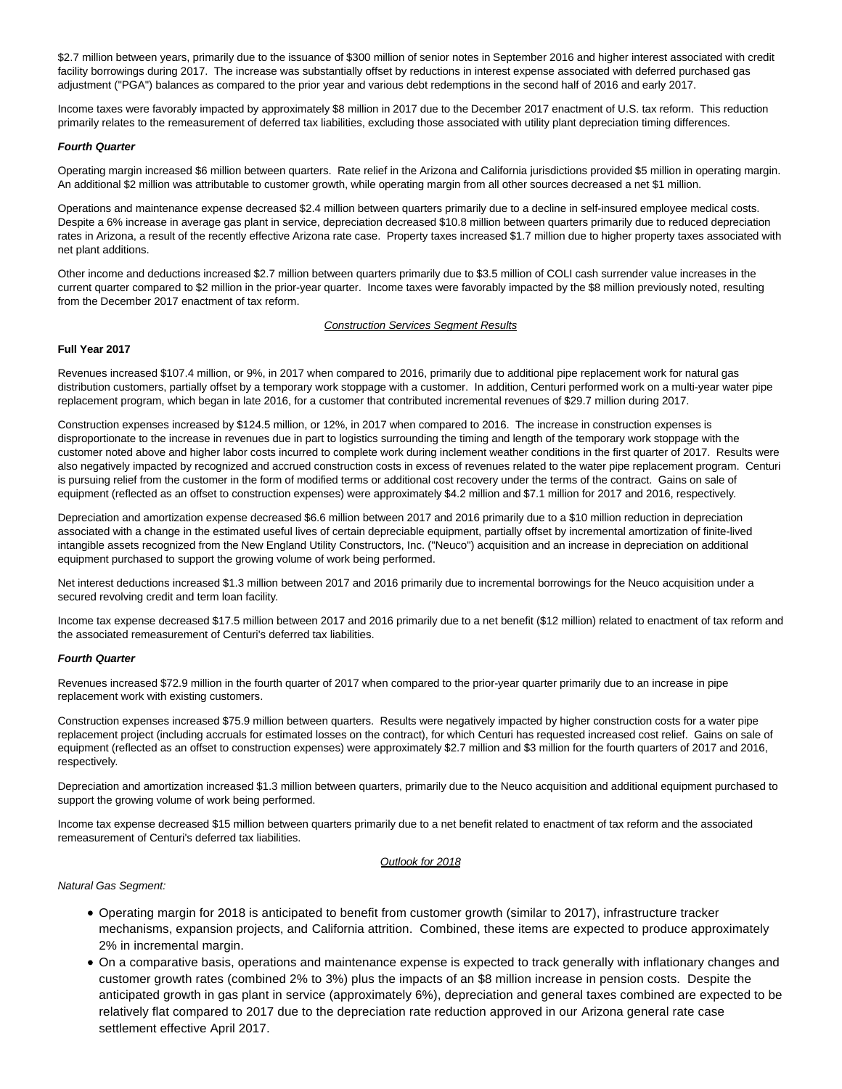\$2.7 million between years, primarily due to the issuance of \$300 million of senior notes in September 2016 and higher interest associated with credit facility borrowings during 2017. The increase was substantially offset by reductions in interest expense associated with deferred purchased gas adjustment ("PGA") balances as compared to the prior year and various debt redemptions in the second half of 2016 and early 2017.

Income taxes were favorably impacted by approximately \$8 million in 2017 due to the December 2017 enactment of U.S. tax reform. This reduction primarily relates to the remeasurement of deferred tax liabilities, excluding those associated with utility plant depreciation timing differences.

#### **Fourth Quarter**

Operating margin increased \$6 million between quarters. Rate relief in the Arizona and California jurisdictions provided \$5 million in operating margin. An additional \$2 million was attributable to customer growth, while operating margin from all other sources decreased a net \$1 million.

Operations and maintenance expense decreased \$2.4 million between quarters primarily due to a decline in self-insured employee medical costs. Despite a 6% increase in average gas plant in service, depreciation decreased \$10.8 million between quarters primarily due to reduced depreciation rates in Arizona, a result of the recently effective Arizona rate case. Property taxes increased \$1.7 million due to higher property taxes associated with net plant additions.

Other income and deductions increased \$2.7 million between quarters primarily due to \$3.5 million of COLI cash surrender value increases in the current quarter compared to \$2 million in the prior-year quarter. Income taxes were favorably impacted by the \$8 million previously noted, resulting from the December 2017 enactment of tax reform.

#### **Construction Services Segment Results**

# **Full Year 2017**

Revenues increased \$107.4 million, or 9%, in 2017 when compared to 2016, primarily due to additional pipe replacement work for natural gas distribution customers, partially offset by a temporary work stoppage with a customer. In addition, Centuri performed work on a multi-year water pipe replacement program, which began in late 2016, for a customer that contributed incremental revenues of \$29.7 million during 2017.

Construction expenses increased by \$124.5 million, or 12%, in 2017 when compared to 2016. The increase in construction expenses is disproportionate to the increase in revenues due in part to logistics surrounding the timing and length of the temporary work stoppage with the customer noted above and higher labor costs incurred to complete work during inclement weather conditions in the first quarter of 2017. Results were also negatively impacted by recognized and accrued construction costs in excess of revenues related to the water pipe replacement program. Centuri is pursuing relief from the customer in the form of modified terms or additional cost recovery under the terms of the contract. Gains on sale of equipment (reflected as an offset to construction expenses) were approximately \$4.2 million and \$7.1 million for 2017 and 2016, respectively.

Depreciation and amortization expense decreased \$6.6 million between 2017 and 2016 primarily due to a \$10 million reduction in depreciation associated with a change in the estimated useful lives of certain depreciable equipment, partially offset by incremental amortization of finite-lived intangible assets recognized from the New England Utility Constructors, Inc. ("Neuco") acquisition and an increase in depreciation on additional equipment purchased to support the growing volume of work being performed.

Net interest deductions increased \$1.3 million between 2017 and 2016 primarily due to incremental borrowings for the Neuco acquisition under a secured revolving credit and term loan facility.

Income tax expense decreased \$17.5 million between 2017 and 2016 primarily due to a net benefit (\$12 million) related to enactment of tax reform and the associated remeasurement of Centuri's deferred tax liabilities.

#### **Fourth Quarter**

Revenues increased \$72.9 million in the fourth quarter of 2017 when compared to the prior-year quarter primarily due to an increase in pipe replacement work with existing customers.

Construction expenses increased \$75.9 million between quarters. Results were negatively impacted by higher construction costs for a water pipe replacement project (including accruals for estimated losses on the contract), for which Centuri has requested increased cost relief. Gains on sale of equipment (reflected as an offset to construction expenses) were approximately \$2.7 million and \$3 million for the fourth quarters of 2017 and 2016, respectively.

Depreciation and amortization increased \$1.3 million between quarters, primarily due to the Neuco acquisition and additional equipment purchased to support the growing volume of work being performed.

Income tax expense decreased \$15 million between quarters primarily due to a net benefit related to enactment of tax reform and the associated remeasurement of Centuri's deferred tax liabilities.

# Outlook for 2018

Natural Gas Segment:

- Operating margin for 2018 is anticipated to benefit from customer growth (similar to 2017), infrastructure tracker mechanisms, expansion projects, and California attrition. Combined, these items are expected to produce approximately 2% in incremental margin.
- On a comparative basis, operations and maintenance expense is expected to track generally with inflationary changes and customer growth rates (combined 2% to 3%) plus the impacts of an \$8 million increase in pension costs. Despite the anticipated growth in gas plant in service (approximately 6%), depreciation and general taxes combined are expected to be relatively flat compared to 2017 due to the depreciation rate reduction approved in our Arizona general rate case settlement effective April 2017.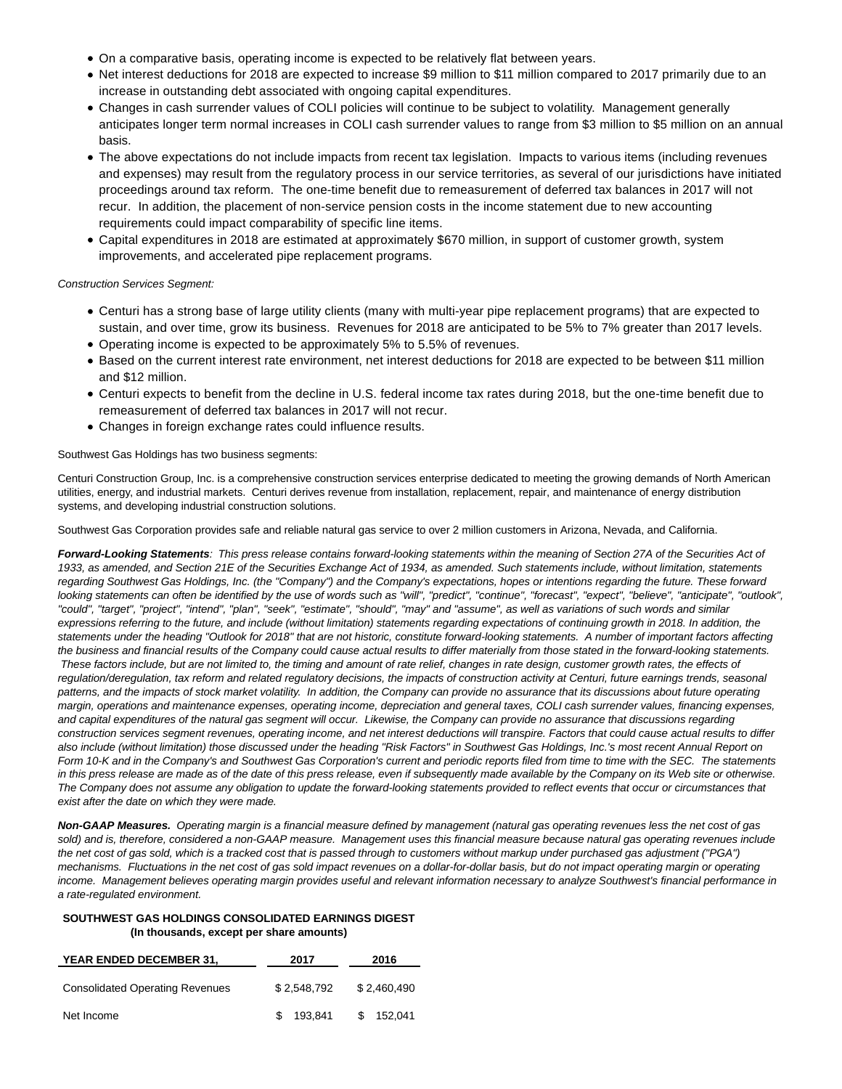- On a comparative basis, operating income is expected to be relatively flat between years.
- Net interest deductions for 2018 are expected to increase \$9 million to \$11 million compared to 2017 primarily due to an increase in outstanding debt associated with ongoing capital expenditures.
- Changes in cash surrender values of COLI policies will continue to be subject to volatility. Management generally anticipates longer term normal increases in COLI cash surrender values to range from \$3 million to \$5 million on an annual basis.
- The above expectations do not include impacts from recent tax legislation. Impacts to various items (including revenues and expenses) may result from the regulatory process in our service territories, as several of our jurisdictions have initiated proceedings around tax reform. The one-time benefit due to remeasurement of deferred tax balances in 2017 will not recur. In addition, the placement of non-service pension costs in the income statement due to new accounting requirements could impact comparability of specific line items.
- Capital expenditures in 2018 are estimated at approximately \$670 million, in support of customer growth, system improvements, and accelerated pipe replacement programs.

# Construction Services Segment:

- Centuri has a strong base of large utility clients (many with multi-year pipe replacement programs) that are expected to sustain, and over time, grow its business. Revenues for 2018 are anticipated to be 5% to 7% greater than 2017 levels.
- Operating income is expected to be approximately 5% to 5.5% of revenues.
- Based on the current interest rate environment, net interest deductions for 2018 are expected to be between \$11 million and \$12 million.
- Centuri expects to benefit from the decline in U.S. federal income tax rates during 2018, but the one-time benefit due to remeasurement of deferred tax balances in 2017 will not recur.
- Changes in foreign exchange rates could influence results.

#### Southwest Gas Holdings has two business segments:

Centuri Construction Group, Inc. is a comprehensive construction services enterprise dedicated to meeting the growing demands of North American utilities, energy, and industrial markets. Centuri derives revenue from installation, replacement, repair, and maintenance of energy distribution systems, and developing industrial construction solutions.

Southwest Gas Corporation provides safe and reliable natural gas service to over 2 million customers in Arizona, Nevada, and California.

**Forward-Looking Statements**: This press release contains forward-looking statements within the meaning of Section 27A of the Securities Act of 1933, as amended, and Section 21E of the Securities Exchange Act of 1934, as amended. Such statements include, without limitation, statements regarding Southwest Gas Holdings, Inc. (the "Company") and the Company's expectations, hopes or intentions regarding the future. These forward looking statements can often be identified by the use of words such as "will", "predict", "continue", "forecast", "expect", "believe", "anticipate", "outlook", "could", "target", "project", "intend", "plan", "seek", "estimate", "should", "may" and "assume", as well as variations of such words and similar expressions referring to the future, and include (without limitation) statements regarding expectations of continuing growth in 2018. In addition, the statements under the heading "Outlook for 2018" that are not historic, constitute forward-looking statements. A number of important factors affecting the business and financial results of the Company could cause actual results to differ materially from those stated in the forward-looking statements. These factors include, but are not limited to, the timing and amount of rate relief, changes in rate design, customer growth rates, the effects of regulation/deregulation, tax reform and related regulatory decisions, the impacts of construction activity at Centuri, future earnings trends, seasonal patterns, and the impacts of stock market volatility. In addition, the Company can provide no assurance that its discussions about future operating margin, operations and maintenance expenses, operating income, depreciation and general taxes, COLI cash surrender values, financing expenses, and capital expenditures of the natural gas segment will occur. Likewise, the Company can provide no assurance that discussions regarding construction services segment revenues, operating income, and net interest deductions will transpire. Factors that could cause actual results to differ also include (without limitation) those discussed under the heading "Risk Factors" in Southwest Gas Holdings, Inc.'s most recent Annual Report on Form 10-K and in the Company's and Southwest Gas Corporation's current and periodic reports filed from time to time with the SEC. The statements in this press release are made as of the date of this press release, even if subsequently made available by the Company on its Web site or otherwise. The Company does not assume any obligation to update the forward-looking statements provided to reflect events that occur or circumstances that exist after the date on which they were made.

**Non-GAAP Measures.** Operating margin is a financial measure defined by management (natural gas operating revenues less the net cost of gas sold) and is, therefore, considered a non-GAAP measure. Management uses this financial measure because natural gas operating revenues include the net cost of gas sold, which is a tracked cost that is passed through to customers without markup under purchased gas adjustment ("PGA") mechanisms. Fluctuations in the net cost of gas sold impact revenues on a dollar-for-dollar basis, but do not impact operating margin or operating income. Management believes operating margin provides useful and relevant information necessary to analyze Southwest's financial performance in a rate-regulated environment.

# **SOUTHWEST GAS HOLDINGS CONSOLIDATED EARNINGS DIGEST (In thousands, except per share amounts)**

| <b>YEAR ENDED DECEMBER 31,</b>         | 2017        | 2016         |
|----------------------------------------|-------------|--------------|
| <b>Consolidated Operating Revenues</b> | \$2.548.792 | \$2.460.490  |
| Net Income                             | 193.841     | 152.041<br>S |